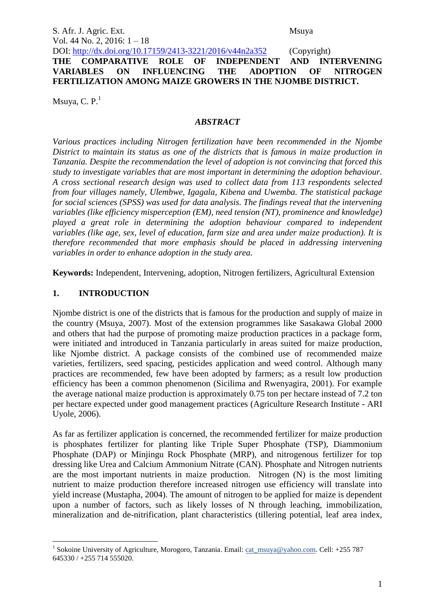S. Afr. J. Agric. Ext. Msuya Vol. 44 No. 2, 2016: 1 – 18

DOI: http://dx.doi.org/10.17159/2413-3221/2016/v44n2a352 (Copyright) **THE COMPARATIVE ROLE OF INDEPENDENT AND INTERVENING VARIABLES ON INFLUENCING THE ADOPTION OF NITROGEN FERTILIZATION AMONG MAIZE GROWERS IN THE NJOMBE DISTRICT.**

Msuya, C.  $P<sup>1</sup>$ 

### *ABSTRACT*

*Various practices including Nitrogen fertilization have been recommended in the Njombe District to maintain its status as one of the districts that is famous in maize production in Tanzania. Despite the recommendation the level of adoption is not convincing that forced this study to investigate variables that are most important in determining the adoption behaviour. A cross sectional research design was used to collect data from 113 respondents selected from four villages namely, Ulembwe, Igagala, Kibena and Uwemba. The statistical package for social sciences (SPSS) was used for data analysis. The findings reveal that the intervening variables (like efficiency misperception (EM), need tension (NT), prominence and knowledge) played a great role in determining the adoption behaviour compared to independent variables (like age, sex, level of education, farm size and area under maize production). It is therefore recommended that more emphasis should be placed in addressing intervening variables in order to enhance adoption in the study area.*

**Keywords:** Independent, Intervening, adoption, Nitrogen fertilizers, Agricultural Extension

## **1. INTRODUCTION**

Njombe district is one of the districts that is famous for the production and supply of maize in the country (Msuya, 2007). Most of the extension programmes like Sasakawa Global 2000 and others that had the purpose of promoting maize production practices in a package form, were initiated and introduced in Tanzania particularly in areas suited for maize production, like Njombe district. A package consists of the combined use of recommended maize varieties, fertilizers, seed spacing, pesticides application and weed control. Although many practices are recommended, few have been adopted by farmers; as a result low production efficiency has been a common phenomenon (Sicilima and Rwenyagira, 2001). For example the average national maize production is approximately 0.75 ton per hectare instead of 7.2 ton per hectare expected under good management practices (Agriculture Research Institute - ARI Uyole, 2006).

As far as fertilizer application is concerned, the recommended fertilizer for maize production is phosphates fertilizer for planting like Triple Super Phosphate (TSP), Diammonium Phosphate (DAP) or Minjingu Rock Phosphate (MRP), and nitrogenous fertilizer for top dressing like Urea and Calcium Ammonium Nitrate (CAN). Phosphate and Nitrogen nutrients are the most important nutrients in maize production. Nitrogen (N) is the most limiting nutrient to maize production therefore increased nitrogen use efficiency will translate into yield increase (Mustapha, 2004). The amount of nitrogen to be applied for maize is dependent upon a number of factors, such as likely losses of N through leaching, immobilization, mineralization and de-nitrification, plant characteristics (tillering potential, leaf area index,

<sup>1</sup> <sup>1</sup> Sokoine University of Agriculture, Morogoro, Tanzania. Email: [cat\\_msuya@yahoo.com.](mailto:cat_msuya@yahoo.com) Cell: +255 787 645330 / +255 714 555020.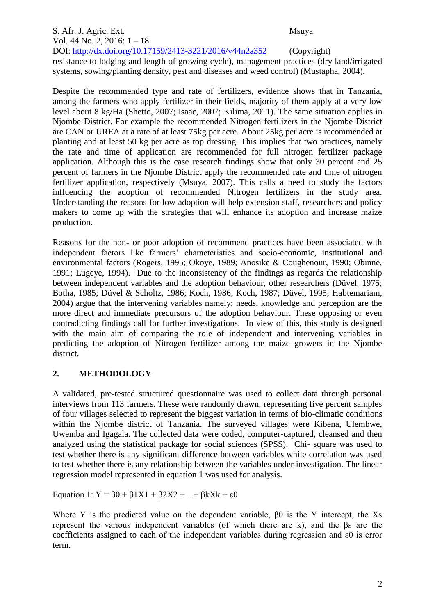#### S. Afr. J. Agric. Ext. Msuya Vol. 44 No. 2, 2016: 1 – 18 DOI: http://dx.doi.org/10.17159/2413-3221/2016/v44n2a352 (Copyright) resistance to lodging and length of growing cycle), management practices (dry land/irrigated systems, sowing/planting density, pest and diseases and weed control) (Mustapha, 2004).

Despite the recommended type and rate of fertilizers, evidence shows that in Tanzania, among the farmers who apply fertilizer in their fields, majority of them apply at a very low level about 8 kg/Ha (Shetto, 2007; Isaac, 2007; Kilima, 2011). The same situation applies in Njombe District. For example the recommended Nitrogen fertilizers in the Njombe District are CAN or UREA at a rate of at least 75kg per acre. About 25kg per acre is recommended at planting and at least 50 kg per acre as top dressing. This implies that two practices, namely the rate and time of application are recommended for full nitrogen fertilizer package application. Although this is the case research findings show that only 30 percent and 25 percent of farmers in the Njombe District apply the recommended rate and time of nitrogen fertilizer application, respectively (Msuya, 2007). This calls a need to study the factors influencing the adoption of recommended Nitrogen fertilizers in the study area. Understanding the reasons for low adoption will help extension staff, researchers and policy makers to come up with the strategies that will enhance its adoption and increase maize production.

Reasons for the non- or poor adoption of recommend practices have been associated with independent factors like farmers' characteristics and socio-economic, institutional and environmental factors (Rogers, 1995; Okoye, 1989; Anosike & Coughenour, 1990; Obinne, 1991; Lugeye, 1994). Due to the inconsistency of the findings as regards the relationship between independent variables and the adoption behaviour, other researchers (Düvel, 1975; Botha, 1985; Düvel & Scholtz, 1986; Koch, 1986; Koch, 1987; Düvel, 1995; Habtemariam, 2004) argue that the intervening variables namely; needs, knowledge and perception are the more direct and immediate precursors of the adoption behaviour. These opposing or even contradicting findings call for further investigations. In view of this, this study is designed with the main aim of comparing the role of independent and intervening variables in predicting the adoption of Nitrogen fertilizer among the maize growers in the Njombe district.

# **2. METHODOLOGY**

A validated, pre-tested structured questionnaire was used to collect data through personal interviews from 113 farmers. These were randomly drawn, representing five percent samples of four villages selected to represent the biggest variation in terms of bio-climatic conditions within the Njombe district of Tanzania. The surveyed villages were Kibena, Ulembwe, Uwemba and Igagala. The collected data were coded, computer-captured, cleansed and then analyzed using the statistical package for social sciences (SPSS). Chi- square was used to test whether there is any significant difference between variables while correlation was used to test whether there is any relationship between the variables under investigation. The linear regression model represented in equation 1 was used for analysis.

Equation 1:  $Y = 60 + 61X1 + 62X2 + ... + 6kXk + \epsilon 0$ 

Where Y is the predicted value on the dependent variable, β0 is the Y intercept, the Xs represent the various independent variables (of which there are k), and the βs are the coefficients assigned to each of the independent variables during regression and ε0 is error term.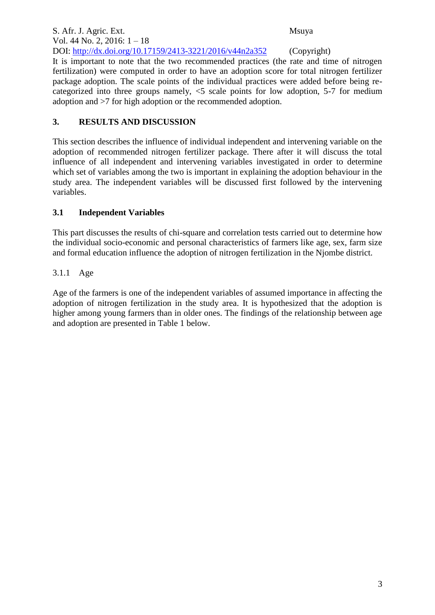S. Afr. J. Agric. Ext. Msuya Vol. 44 No. 2, 2016: 1 – 18 DOI: http://dx.doi.org/10.17159/2413-3221/2016/v44n2a352 (Copyright) It is important to note that the two recommended practices (the rate and time of nitrogen fertilization) were computed in order to have an adoption score for total nitrogen fertilizer package adoption. The scale points of the individual practices were added before being recategorized into three groups namely, <5 scale points for low adoption, 5-7 for medium adoption and >7 for high adoption or the recommended adoption.

# **3. RESULTS AND DISCUSSION**

This section describes the influence of individual independent and intervening variable on the adoption of recommended nitrogen fertilizer package. There after it will discuss the total influence of all independent and intervening variables investigated in order to determine which set of variables among the two is important in explaining the adoption behaviour in the study area. The independent variables will be discussed first followed by the intervening variables.

# **3.1 Independent Variables**

This part discusses the results of chi-square and correlation tests carried out to determine how the individual socio-economic and personal characteristics of farmers like age, sex, farm size and formal education influence the adoption of nitrogen fertilization in the Njombe district.

# 3.1.1 Age

Age of the farmers is one of the independent variables of assumed importance in affecting the adoption of nitrogen fertilization in the study area. It is hypothesized that the adoption is higher among young farmers than in older ones. The findings of the relationship between age and adoption are presented in Table 1 below.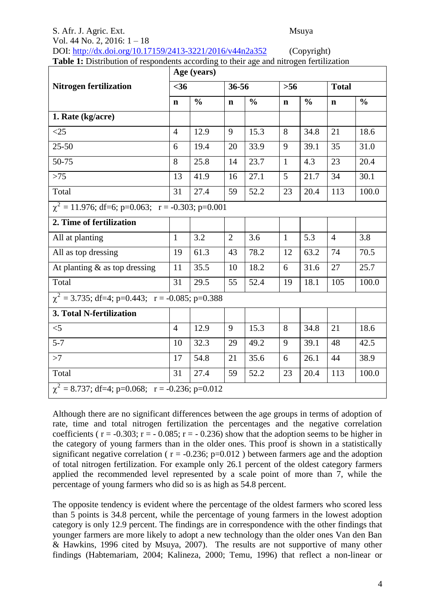## S. Afr. J. Agric. Ext. Msuya Vol. 44 No. 2, 2016: 1 – 18 DOI: http://dx.doi.org/10.17159/2413-3221/2016/v44n2a352 (Copyright)

|  |  | $\sqrt{2}$                                                                                    |
|--|--|-----------------------------------------------------------------------------------------------|
|  |  | <b>Table 1:</b> Distribution of respondents according to their age and nitrogen fertilization |

|                                                       |                | Age (years)   |                |               |              |               |                |               |  |  |  |
|-------------------------------------------------------|----------------|---------------|----------------|---------------|--------------|---------------|----------------|---------------|--|--|--|
| <b>Nitrogen fertilization</b>                         | $<$ 36         |               | 36-56          |               | $>56$        |               | <b>Total</b>   |               |  |  |  |
|                                                       | $\mathbf n$    | $\frac{0}{0}$ | $\mathbf n$    | $\frac{0}{0}$ | $\mathbf n$  | $\frac{0}{0}$ | $\mathbf n$    | $\frac{0}{0}$ |  |  |  |
| 1. Rate (kg/acre)                                     |                |               |                |               |              |               |                |               |  |  |  |
| $<$ 25                                                | $\overline{4}$ | 12.9          | 9              | 15.3          | 8            | 34.8          | 21             | 18.6          |  |  |  |
| $25 - 50$                                             | 6              | 19.4          | 20             | 33.9          | 9            | 39.1          | 35             | 31.0          |  |  |  |
| 50-75                                                 | 8              | 25.8          | 14             | 23.7          | $\mathbf{1}$ | 4.3           | 23             | 20.4          |  |  |  |
| $>75$                                                 | 13             | 41.9          | 16             | 27.1          | 5            | 21.7          | 34             | 30.1          |  |  |  |
| Total                                                 | 31             | 27.4          | 59             | 52.2          | 23           | 20.4          | 113            | 100.0         |  |  |  |
| $\chi^2$ = 11.976; df=6; p=0.063; r = -0.303; p=0.001 |                |               |                |               |              |               |                |               |  |  |  |
| 2. Time of fertilization                              |                |               |                |               |              |               |                |               |  |  |  |
| All at planting                                       | $\mathbf{1}$   | 3.2           | $\overline{2}$ | 3.6           | $\mathbf{1}$ | 5.3           | $\overline{4}$ | 3.8           |  |  |  |
| All as top dressing                                   | 19             | 61.3          | 43             | 78.2          | 12           | 63.2          | 74             | 70.5          |  |  |  |
| At planting $\&$ as top dressing                      | 11             | 35.5          | 10             | 18.2          | 6            | 31.6          | 27             | 25.7          |  |  |  |
| Total                                                 | 31             | 29.5          | 55             | 52.4          | 19           | 18.1          | 105            | 100.0         |  |  |  |
| $\chi^2$ = 3.735; df=4; p=0.443; r = -0.085; p=0.388  |                |               |                |               |              |               |                |               |  |  |  |
| 3. Total N-fertilization                              |                |               |                |               |              |               |                |               |  |  |  |
| $<$ 5                                                 | $\overline{4}$ | 12.9          | 9              | 15.3          | 8            | 34.8          | 21             | 18.6          |  |  |  |
| $5 - 7$                                               | 10             | 32.3          | 29             | 49.2          | 9            | 39.1          | 48             | 42.5          |  |  |  |
| >7                                                    | 17             | 54.8          | 21             | 35.6          | 6            | 26.1          | 44             | 38.9          |  |  |  |
| Total                                                 | 31             | 27.4          | 59             | 52.2          | 23           | 20.4          | 113            | 100.0         |  |  |  |
| $\chi^2$ = 8.737; df=4; p=0.068; r = -0.236; p=0.012  |                |               |                |               |              |               |                |               |  |  |  |

Although there are no significant differences between the age groups in terms of adoption of rate, time and total nitrogen fertilization the percentages and the negative correlation coefficients ( $r = -0.303$ ;  $r = -0.085$ ;  $r = -0.236$ ) show that the adoption seems to be higher in the category of young farmers than in the older ones. This proof is shown in a statistically significant negative correlation ( $r = -0.236$ ;  $p=0.012$ ) between farmers age and the adoption of total nitrogen fertilization. For example only 26.1 percent of the oldest category farmers applied the recommended level represented by a scale point of more than 7, while the percentage of young farmers who did so is as high as 54.8 percent.

The opposite tendency is evident where the percentage of the oldest farmers who scored less than 5 points is 34.8 percent, while the percentage of young farmers in the lowest adoption category is only 12.9 percent. The findings are in correspondence with the other findings that younger farmers are more likely to adopt a new technology than the older ones Van den Ban & Hawkins, 1996 cited by Msuya, 2007). The results are not supportive of many other findings (Habtemariam, 2004; Kalineza, 2000; Temu, 1996) that reflect a non-linear or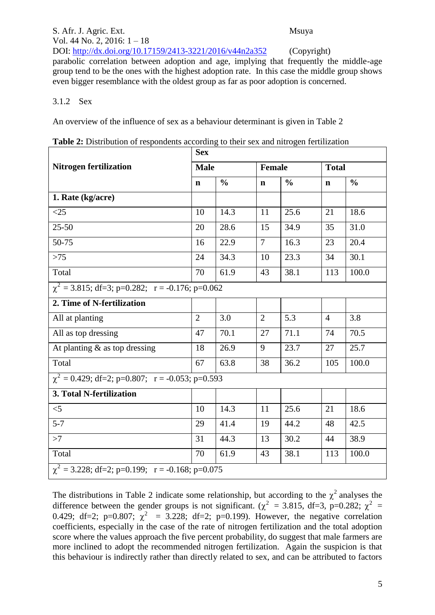S. Afr. J. Agric. Ext. Msuya Vol. 44 No. 2, 2016: 1 – 18 DOI: http://dx.doi.org/10.17159/2413-3221/2016/v44n2a352 (Copyright) parabolic correlation between adoption and age, implying that frequently the middle-age group tend to be the ones with the highest adoption rate. In this case the middle group shows even bigger resemblance with the oldest group as far as poor adoption is concerned.

#### 3.1.2 Sex

An overview of the influence of sex as a behaviour determinant is given in Table 2

|                                                      | <b>Sex</b>     |               |                |               |                |               |  |  |  |  |  |
|------------------------------------------------------|----------------|---------------|----------------|---------------|----------------|---------------|--|--|--|--|--|
| <b>Nitrogen fertilization</b>                        | <b>Male</b>    |               | <b>Female</b>  |               | <b>Total</b>   |               |  |  |  |  |  |
|                                                      | $\mathbf n$    | $\frac{0}{0}$ | $\mathbf n$    | $\frac{0}{0}$ | $\mathbf n$    | $\frac{0}{0}$ |  |  |  |  |  |
| 1. Rate (kg/acre)                                    |                |               |                |               |                |               |  |  |  |  |  |
| <25                                                  | 10             | 14.3          | 11             | 25.6          | 21             | 18.6          |  |  |  |  |  |
| $25 - 50$                                            | 20             | 28.6          | 15             | 34.9          | 35             | 31.0          |  |  |  |  |  |
| 50-75                                                | 16             | 22.9          | $\overline{7}$ | 16.3          | 23             | 20.4          |  |  |  |  |  |
| $>75$                                                | 24             | 34.3          | 10             | 23.3          | 34             | 30.1          |  |  |  |  |  |
| Total                                                | 70             | 61.9          | 43             | 38.1          | 113            | 100.0         |  |  |  |  |  |
| $\chi^2$ = 3.815; df=3; p=0.282; r = -0.176; p=0.062 |                |               |                |               |                |               |  |  |  |  |  |
| 2. Time of N-fertilization                           |                |               |                |               |                |               |  |  |  |  |  |
| All at planting                                      | $\overline{2}$ | 3.0           | $\overline{2}$ | 5.3           | $\overline{4}$ | 3.8           |  |  |  |  |  |
| All as top dressing                                  | 47             | 70.1          | 27             | 71.1          | 74             | 70.5          |  |  |  |  |  |
| At planting $\&$ as top dressing                     | 18             | 26.9          | 9              | 23.7          | 27             | 25.7          |  |  |  |  |  |
| Total                                                | 67             | 63.8          | 38             | 36.2          | 105            | 100.0         |  |  |  |  |  |
| $\chi^2$ = 0.429; df=2; p=0.807; r = -0.053; p=0.593 |                |               |                |               |                |               |  |  |  |  |  |
| 3. Total N-fertilization                             |                |               |                |               |                |               |  |  |  |  |  |
| $<$ 5                                                | 10             | 14.3          | 11             | 25.6          | 21             | 18.6          |  |  |  |  |  |
| $5 - 7$                                              | 29             | 41.4          | 19             | 44.2          | 48             | 42.5          |  |  |  |  |  |
| >7                                                   | 31             | 44.3          | 13             | 30.2          | 44             | 38.9          |  |  |  |  |  |
| Total                                                | 70             | 61.9          | 43             | 38.1          | 113            | 100.0         |  |  |  |  |  |
| $\chi^2$ = 3.228; df=2; p=0.199; r = -0.168; p=0.075 |                |               |                |               |                |               |  |  |  |  |  |

|  |  | Table 2: Distribution of respondents according to their sex and nitrogen fertilization |  |
|--|--|----------------------------------------------------------------------------------------|--|
|  |  |                                                                                        |  |

The distributions in Table 2 indicate some relationship, but according to the  $\chi^2$  analyses the difference between the gender groups is not significant. ( $\chi^2$  = 3.815, df=3, p=0.282;  $\chi^2$  = 0.429; df=2; p=0.807;  $\chi^2$  = 3.228; df=2; p=0.199). However, the negative correlation coefficients, especially in the case of the rate of nitrogen fertilization and the total adoption score where the values approach the five percent probability, do suggest that male farmers are more inclined to adopt the recommended nitrogen fertilization. Again the suspicion is that this behaviour is indirectly rather than directly related to sex, and can be attributed to factors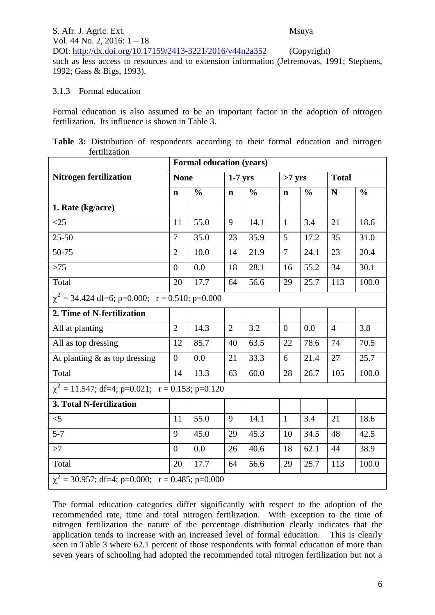S. Afr. J. Agric. Ext. Msuya Vol. 44 No. 2, 2016: 1 – 18 DOI: http://dx.doi.org/10.17159/2413-3221/2016/v44n2a352 (Copyright) such as less access to resources and to extension information (Jefremovas, 1991; Stephens, 1992; Gass & Bigs, 1993).

#### 3.1.3 Formal education

Formal education is also assumed to be an important factor in the adoption of nitrogen fertilization. Its influence is shown in Table 3.

|  | Table 3: Distribution of respondents according to their formal education and nitrogen |  |  |  |  |  |
|--|---------------------------------------------------------------------------------------|--|--|--|--|--|
|  | fertilization                                                                         |  |  |  |  |  |

|                                                       | <b>Formal education (years)</b> |               |                |               |                |               |                |               |  |  |
|-------------------------------------------------------|---------------------------------|---------------|----------------|---------------|----------------|---------------|----------------|---------------|--|--|
| <b>Nitrogen fertilization</b>                         | <b>None</b>                     |               | $1-7$ yrs      |               | $>7$ yrs       |               | <b>Total</b>   |               |  |  |
|                                                       | $\mathbf n$                     | $\frac{0}{0}$ | $\mathbf n$    | $\frac{0}{0}$ | $\mathbf n$    | $\frac{0}{0}$ | N              | $\frac{0}{0}$ |  |  |
| 1. Rate (kg/acre)                                     |                                 |               |                |               |                |               |                |               |  |  |
| $<$ 25                                                | 11                              | 55.0          | 9              | 14.1          | $\mathbf{1}$   | 3.4           | 21             | 18.6          |  |  |
| $25 - 50$                                             | $\overline{7}$                  | 35.0          | 23             | 35.9          | 5              | 17.2          | 35             | 31.0          |  |  |
| 50-75                                                 | $\overline{2}$                  | 10.0          | 14             | 21.9          | $\tau$         | 24.1          | 23             | 20.4          |  |  |
| $>75$                                                 | $\overline{0}$                  | 0.0           | 18             | 28.1          | 16             | 55.2          | 34             | 30.1          |  |  |
| Total                                                 | 20                              | 17.7          | 64             | 56.6          | 29             | 25.7          | 113            | 100.0         |  |  |
| $\chi^2$ = 34.424 df=6; p=0.000; r = 0.510; p=0.000   |                                 |               |                |               |                |               |                |               |  |  |
| 2. Time of N-fertilization                            |                                 |               |                |               |                |               |                |               |  |  |
| All at planting                                       | $\overline{2}$                  | 14.3          | $\overline{2}$ | 3.2           | $\overline{0}$ | 0.0           | $\overline{4}$ | 3.8           |  |  |
| All as top dressing                                   | 12                              | 85.7          | 40             | 63.5          | 22             | 78.6          | 74             | 70.5          |  |  |
| At planting & as top dressing                         | $\overline{0}$                  | 0.0           | 21             | 33.3          | 6              | 21.4          | 27             | 25.7          |  |  |
| Total                                                 | 14                              | 13.3          | 63             | 60.0          | 28             | 26.7          | 105            | 100.0         |  |  |
| $\chi^2 = 11.547$ ; df=4; p=0.021; r = 0.153; p=0.120 |                                 |               |                |               |                |               |                |               |  |  |
| 3. Total N-fertilization                              |                                 |               |                |               |                |               |                |               |  |  |
| $<$ 5                                                 | 11                              | 55.0          | 9              | 14.1          | $\mathbf{1}$   | 3.4           | 21             | 18.6          |  |  |
| $5 - 7$                                               | 9                               | 45.0          | 29             | 45.3          | 10             | 34.5          | 48             | 42.5          |  |  |
| >7                                                    | $\overline{0}$                  | 0.0           | 26             | 40.6          | 18             | 62.1          | 44             | 38.9          |  |  |
| Total                                                 | 20                              | 17.7          | 64             | 56.6          | 29             | 25.7          | 113            | 100.0         |  |  |
| $\chi^2$ = 30.957; df=4; p=0.000; r = 0.485; p=0.000  |                                 |               |                |               |                |               |                |               |  |  |

The formal education categories differ significantly with respect to the adoption of the recommended rate, time and total nitrogen fertilization. With exception to the time of nitrogen fertilization the nature of the percentage distribution clearly indicates that the application tends to increase with an increased level of formal education. This is clearly seen in Table 3 where 62.1 percent of those respondents with formal education of more than seven years of schooling had adopted the recommended total nitrogen fertilization but not a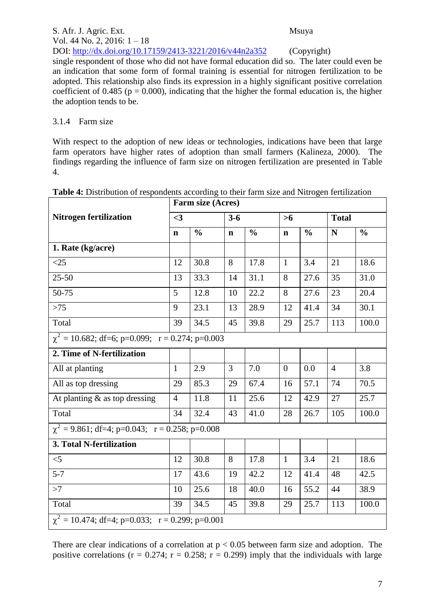S. Afr. J. Agric. Ext. Msuya Vol. 44 No. 2, 2016: 1 – 18 DOI: http://dx.doi.org/10.17159/2413-3221/2016/v44n2a352 (Copyright) single respondent of those who did not have formal education did so. The later could even be an indication that some form of formal training is essential for nitrogen fertilization to be adopted. This relationship also finds its expression in a highly significant positive correlation coefficient of 0.485 ( $p = 0.000$ ), indicating that the higher the formal education is, the higher the adoption tends to be.

#### 3.1.4 Farm size

With respect to the adoption of new ideas or technologies, indications have been that large farm operators have higher rates of adoption than small farmers (Kalineza, 2000). The findings regarding the influence of farm size on nitrogen fertilization are presented in Table 4.

|                                                       | Farm size (Acres) |               |             |               |                |               |                |               |  |  |
|-------------------------------------------------------|-------------------|---------------|-------------|---------------|----------------|---------------|----------------|---------------|--|--|
| <b>Nitrogen fertilization</b>                         | $\leq$ 3          |               | $3 - 6$     |               | >6             |               | <b>Total</b>   |               |  |  |
|                                                       | $\mathbf n$       | $\frac{0}{0}$ | $\mathbf n$ | $\frac{0}{0}$ | $\mathbf n$    | $\frac{0}{0}$ | N              | $\frac{0}{0}$ |  |  |
| 1. Rate (kg/acre)                                     |                   |               |             |               |                |               |                |               |  |  |
| $<$ 25                                                | 12                | 30.8          | 8           | 17.8          | $\mathbf{1}$   | 3.4           | 21             | 18.6          |  |  |
| $25 - 50$                                             | 13                | 33.3          | 14          | 31.1          | 8              | 27.6          | 35             | 31.0          |  |  |
| 50-75                                                 | 5                 | 12.8          | 10          | 22.2          | 8              | 27.6          | 23             | 20.4          |  |  |
| $>75$                                                 | 9                 | 23.1          | 13          | 28.9          | 12             | 41.4          | 34             | 30.1          |  |  |
| Total                                                 | 39                | 34.5          | 45          | 39.8          | 29             | 25.7          | 113            | 100.0         |  |  |
| $\chi^2$ = 10.682; df=6; p=0.099; r = 0.274; p=0.003  |                   |               |             |               |                |               |                |               |  |  |
| 2. Time of N-fertilization                            |                   |               |             |               |                |               |                |               |  |  |
| All at planting                                       | $\mathbf{1}$      | 2.9           | 3           | 7.0           | $\overline{0}$ | 0.0           | $\overline{4}$ | 3.8           |  |  |
| All as top dressing                                   | 29                | 85.3          | 29          | 67.4          | 16             | 57.1          | 74             | 70.5          |  |  |
| At planting $\&$ as top dressing                      | $\overline{4}$    | 11.8          | 11          | 25.6          | 12             | 42.9          | 27             | 25.7          |  |  |
| Total                                                 | 34                | 32.4          | 43          | 41.0          | 28             | 26.7          | 105            | 100.0         |  |  |
| $\chi^2$ = 9.861; df=4; p=0.043; r = 0.258; p=0.008   |                   |               |             |               |                |               |                |               |  |  |
| 3. Total N-fertilization                              |                   |               |             |               |                |               |                |               |  |  |
| $<$ 5                                                 | 12                | 30.8          | 8           | 17.8          | $\mathbf{1}$   | 3.4           | 21             | 18.6          |  |  |
| $5 - 7$                                               | 17                | 43.6          | 19          | 42.2          | 12             | 41.4          | 48             | 42.5          |  |  |
| >7                                                    | 10                | 25.6          | 18          | 40.0          | 16             | 55.2          | 44             | 38.9          |  |  |
| Total                                                 | 39                | 34.5          | 45          | 39.8          | 29             | 25.7          | 113            | 100.0         |  |  |
| $\chi^2 = 10.474$ ; df=4; p=0.033; r = 0.299; p=0.001 |                   |               |             |               |                |               |                |               |  |  |

There are clear indications of a correlation at  $p < 0.05$  between farm size and adoption. The positive correlations ( $r = 0.274$ ;  $r = 0.258$ ;  $r = 0.299$ ) imply that the individuals with large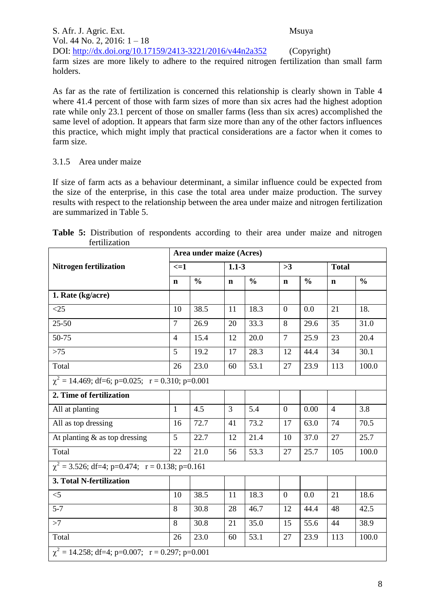S. Afr. J. Agric. Ext. Msuya Vol. 44 No. 2, 2016: 1 – 18 DOI: http://dx.doi.org/10.17159/2413-3221/2016/v44n2a352 (Copyright) farm sizes are more likely to adhere to the required nitrogen fertilization than small farm holders.

As far as the rate of fertilization is concerned this relationship is clearly shown in Table 4 where 41.4 percent of those with farm sizes of more than six acres had the highest adoption rate while only 23.1 percent of those on smaller farms (less than six acres) accomplished the same level of adoption. It appears that farm size more than any of the other factors influences this practice, which might imply that practical considerations are a factor when it comes to farm size.

### 3.1.5 Area under maize

If size of farm acts as a behaviour determinant, a similar influence could be expected from the size of the enterprise, in this case the total area under maize production. The survey results with respect to the relationship between the area under maize and nitrogen fertilization are summarized in Table 5.

|                                                      | Area under maize (Acres) |               |             |               |                  |               |                |               |  |  |
|------------------------------------------------------|--------------------------|---------------|-------------|---------------|------------------|---------------|----------------|---------------|--|--|
| <b>Nitrogen fertilization</b>                        | $\leq$ $=$ $1$           |               | $1.1 - 3$   |               | >3               |               | <b>Total</b>   |               |  |  |
|                                                      | $\mathbf n$              | $\frac{0}{0}$ | $\mathbf n$ | $\frac{0}{0}$ | $\mathbf n$      | $\frac{0}{0}$ | $\mathbf n$    | $\frac{0}{0}$ |  |  |
| 1. Rate (kg/acre)                                    |                          |               |             |               |                  |               |                |               |  |  |
| <25                                                  | 10                       | 38.5          | 11          | 18.3          | $\boldsymbol{0}$ | 0.0           | 21             | 18.           |  |  |
| $25 - 50$                                            | $\overline{7}$           | 26.9          | 20          | 33.3          | 8                | 29.6          | 35             | 31.0          |  |  |
| 50-75                                                | $\overline{4}$           | 15.4          | 12          | 20.0          | $\overline{7}$   | 25.9          | 23             | 20.4          |  |  |
| $>75$                                                | 5                        | 19.2          | 17          | 28.3          | 12               | 44.4          | 34             | 30.1          |  |  |
| Total                                                | 26                       | 23.0          | 60          | 53.1          | 27               | 23.9          | 113            | 100.0         |  |  |
| $\chi^2$ = 14.469; df=6; p=0.025; r = 0.310; p=0.001 |                          |               |             |               |                  |               |                |               |  |  |
| 2. Time of fertilization                             |                          |               |             |               |                  |               |                |               |  |  |
| All at planting                                      | $\mathbf{1}$             | 4.5           | 3           | 5.4           | $\boldsymbol{0}$ | 0.00          | $\overline{4}$ | 3.8           |  |  |
| All as top dressing                                  | 16                       | 72.7          | 41          | 73.2          | 17               | 63.0          | 74             | 70.5          |  |  |
| At planting $\&$ as top dressing                     | 5                        | 22.7          | 12          | 21.4          | 10               | 37.0          | 27             | 25.7          |  |  |
| Total                                                | 22                       | 21.0          | 56          | 53.3          | 27               | 25.7          | 105            | 100.0         |  |  |
| $\chi^2$ = 3.526; df=4; p=0.474; r = 0.138; p=0.161  |                          |               |             |               |                  |               |                |               |  |  |
| 3. Total N-fertilization                             |                          |               |             |               |                  |               |                |               |  |  |
| $<$ 5                                                | 10                       | 38.5          | 11          | 18.3          | $\overline{0}$   | 0.0           | 21             | 18.6          |  |  |
| $5 - 7$                                              | 8                        | 30.8          | 28          | 46.7          | 12               | 44.4          | 48             | 42.5          |  |  |
| $\overline{z}$                                       | 8                        | 30.8          | 21          | 35.0          | 15               | 55.6          | 44             | 38.9          |  |  |
| Total                                                | 26                       | 23.0          | 60          | 53.1          | 27               | 23.9          | 113            | 100.0         |  |  |
| $\chi^2$ = 14.258; df=4; p=0.007; r = 0.297; p=0.001 |                          |               |             |               |                  |               |                |               |  |  |

**Table 5:** Distribution of respondents according to their area under maize and nitrogen fertilization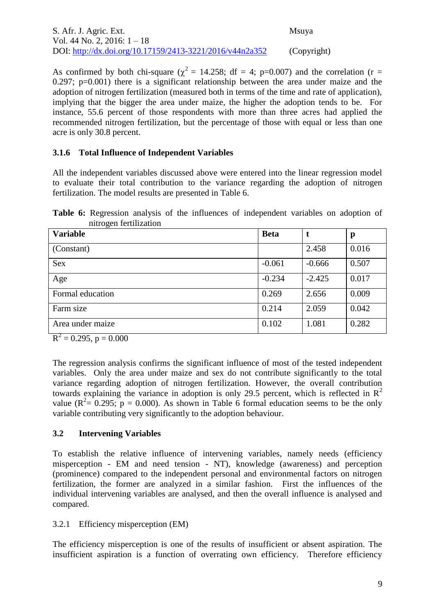As confirmed by both chi-square ( $\chi^2$  = 14.258; df = 4; p=0.007) and the correlation (r = 0.297; p=0.001) there is a significant relationship between the area under maize and the adoption of nitrogen fertilization (measured both in terms of the time and rate of application), implying that the bigger the area under maize, the higher the adoption tends to be. For instance, 55.6 percent of those respondents with more than three acres had applied the recommended nitrogen fertilization, but the percentage of those with equal or less than one acre is only 30.8 percent.

#### **3.1.6 Total Influence of Independent Variables**

All the independent variables discussed above were entered into the linear regression model to evaluate their total contribution to the variance regarding the adoption of nitrogen fertilization. The model results are presented in Table 6.

**Table 6:** Regression analysis of the influences of independent variables on adoption of nitrogen fertilization

| ັ<br><b>Variable</b>                         | <b>Beta</b> |          | p     |
|----------------------------------------------|-------------|----------|-------|
| (Constant)                                   |             | 2.458    | 0.016 |
| <b>Sex</b>                                   | $-0.061$    | $-0.666$ | 0.507 |
| Age                                          | $-0.234$    | $-2.425$ | 0.017 |
| Formal education                             | 0.269       | 2.656    | 0.009 |
| Farm size                                    | 0.214       | 2.059    | 0.042 |
| Area under maize<br>$\overline{\phantom{a}}$ | 0.102       | 1.081    | 0.282 |

 $R^2 = 0.295$ , p = 0.000

The regression analysis confirms the significant influence of most of the tested independent variables. Only the area under maize and sex do not contribute significantly to the total variance regarding adoption of nitrogen fertilization. However, the overall contribution towards explaining the variance in adoption is only 29.5 percent, which is reflected in  $\mathbb{R}^2$ value ( $R^2 = 0.295$ ;  $p = 0.000$ ). As shown in Table 6 formal education seems to be the only variable contributing very significantly to the adoption behaviour.

### **3.2 Intervening Variables**

To establish the relative influence of intervening variables, namely needs (efficiency misperception - EM and need tension - NT), knowledge (awareness) and perception (prominence) compared to the independent personal and environmental factors on nitrogen fertilization, the former are analyzed in a similar fashion. First the influences of the individual intervening variables are analysed, and then the overall influence is analysed and compared.

### 3.2.1 Efficiency misperception (EM)

The efficiency misperception is one of the results of insufficient or absent aspiration. The insufficient aspiration is a function of overrating own efficiency. Therefore efficiency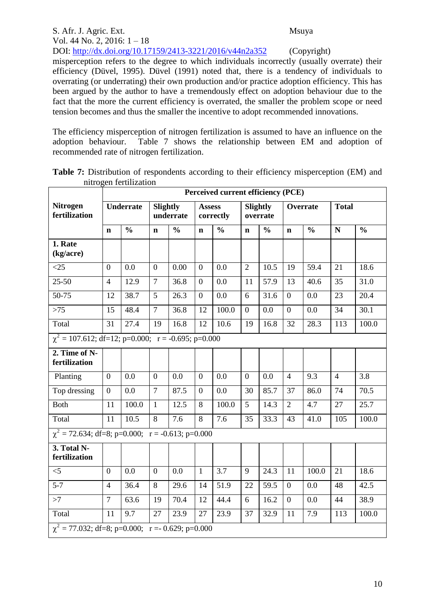| S. Afr. J. Agric. Ext.                                                                         | Msuya       |
|------------------------------------------------------------------------------------------------|-------------|
| Vol. 44 No. 2, 2016: $1 - 18$                                                                  |             |
| DOI: http://dx.doi.org/10.17159/2413-3221/2016/v44n2a352                                       | (Copyright) |
| misperception refers to the degree to which individuals incorrectly (usually overrate) their   |             |
| efficiency (Düvel, 1995). Düvel (1991) noted that, there is a tendency of individuals to       |             |
| overrating (or underrating) their own production and/or practice adoption efficiency. This has |             |
| been argued by the author to have a tremendously effect on adoption behaviour due to the       |             |
| fact that the more the current efficiency is overrated, the smaller the problem scope or need  |             |
| tension becomes and thus the smaller the incentive to adopt recommended innovations.           |             |

The efficiency misperception of nitrogen fertilization is assumed to have an influence on the adoption behaviour. Table 7 shows the relationship between EM and adoption of Table 7 shows the relationship between EM and adoption of recommended rate of nitrogen fertilization.

|                                                         | Perceived current efficiency (PCE) |               |                |                              |                |                            |                  |                      |                |               |                |               |
|---------------------------------------------------------|------------------------------------|---------------|----------------|------------------------------|----------------|----------------------------|------------------|----------------------|----------------|---------------|----------------|---------------|
| <b>Nitrogen</b><br>fertilization                        | <b>Underrate</b>                   |               |                | <b>Slightly</b><br>underrate |                | <b>Assess</b><br>correctly |                  | Slightly<br>overrate | Overrate       |               | <b>Total</b>   |               |
|                                                         | $\mathbf n$                        | $\frac{0}{0}$ | $\mathbf n$    | $\frac{0}{0}$                | $\mathbf n$    | $\frac{0}{0}$              | $\mathbf n$      | $\frac{0}{0}$        | $\mathbf n$    | $\frac{0}{0}$ | N              | $\frac{0}{0}$ |
| 1. Rate<br>(kg/acre)                                    |                                    |               |                |                              |                |                            |                  |                      |                |               |                |               |
| <25                                                     | $\mathbf{0}$                       | 0.0           | $\overline{0}$ | 0.00                         | $\overline{0}$ | 0.0                        | $\overline{2}$   | 10.5                 | 19             | 59.4          | 21             | 18.6          |
| $25 - 50$                                               | $\overline{4}$                     | 12.9          | $\overline{7}$ | 36.8                         | $\theta$       | 0.0                        | 11               | 57.9                 | 13             | 40.6          | 35             | 31.0          |
| 50-75                                                   | 12                                 | 38.7          | 5              | 26.3                         | $\overline{0}$ | 0.0                        | 6                | 31.6                 | $\theta$       | 0.0           | 23             | 20.4          |
| $>75$                                                   | 15                                 | 48.4          | $\overline{7}$ | 36.8                         | 12             | 100.0                      | $\boldsymbol{0}$ | 0.0                  | $\overline{0}$ | 0.0           | 34             | 30.1          |
| Total                                                   | 31                                 | 27.4          | 19             | 16.8                         | 12             | 10.6                       | 19               | 16.8                 | 32             | 28.3          | 113            | 100.0         |
| $\chi^2$ = 107.612; df=12; p=0.000; r = -0.695; p=0.000 |                                    |               |                |                              |                |                            |                  |                      |                |               |                |               |
| 2. Time of N-<br>fertilization                          |                                    |               |                |                              |                |                            |                  |                      |                |               |                |               |
| Planting                                                | $\overline{0}$                     | 0.0           | $\overline{0}$ | 0.0                          | $\overline{0}$ | 0.0                        | $\theta$         | 0.0                  | $\overline{4}$ | 9.3           | $\overline{4}$ | 3.8           |
| Top dressing                                            | $\theta$                           | 0.0           | $\overline{7}$ | 87.5                         | $\overline{0}$ | 0.0                        | 30               | 85.7                 | 37             | 86.0          | 74             | 70.5          |
| <b>Both</b>                                             | 11                                 | 100.0         | $\mathbf{1}$   | 12.5                         | 8              | 100.0                      | 5                | 14.3                 | $\overline{2}$ | 4.7           | 27             | 25.7          |
| Total                                                   | 11                                 | 10.5          | 8              | 7.6                          | 8              | 7.6                        | 35               | 33.3                 | 43             | 41.0          | 105            | 100.0         |
| $\chi^2$ = 72.634; df=8; p=0.000; r = -0.613; p=0.000   |                                    |               |                |                              |                |                            |                  |                      |                |               |                |               |
| 3. Total N-<br>fertilization                            |                                    |               |                |                              |                |                            |                  |                      |                |               |                |               |
| $<$ 5                                                   | $\overline{0}$                     | 0.0           | $\overline{0}$ | 0.0                          | $\mathbf{1}$   | 3.7                        | 9                | 24.3                 | 11             | 100.0         | 21             | 18.6          |
| $5 - 7$                                                 | $\overline{4}$                     | 36.4          | 8              | 29.6                         | 14             | 51.9                       | 22               | 59.5                 | $\overline{0}$ | 0.0           | 48             | 42.5          |
| >7                                                      | $\overline{7}$                     | 63.6          | 19             | 70.4                         | 12             | 44.4                       | 6                | 16.2                 | $\overline{0}$ | 0.0           | 44             | 38.9          |
| Total                                                   | 11                                 | 9.7           | 27             | 23.9                         | 27             | 23.9                       | 37               | 32.9                 | 11             | 7.9           | 113            | 100.0         |
| $\chi^2$ = 77.032; df=8; p=0.000; r = 0.629; p=0.000    |                                    |               |                |                              |                |                            |                  |                      |                |               |                |               |

**Table 7:** Distribution of respondents according to their efficiency misperception (EM) and nitrogen fertilization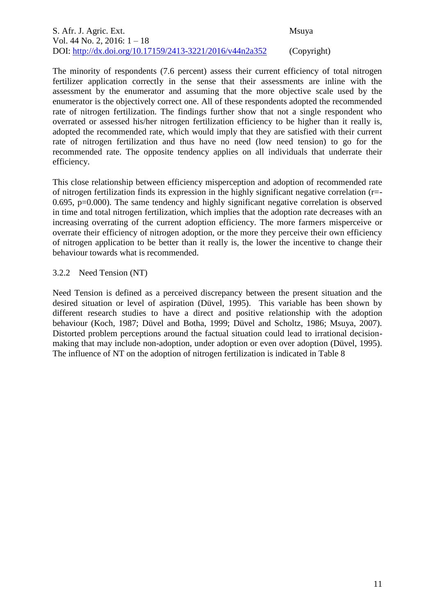The minority of respondents (7.6 percent) assess their current efficiency of total nitrogen fertilizer application correctly in the sense that their assessments are inline with the assessment by the enumerator and assuming that the more objective scale used by the enumerator is the objectively correct one. All of these respondents adopted the recommended rate of nitrogen fertilization. The findings further show that not a single respondent who overrated or assessed his/her nitrogen fertilization efficiency to be higher than it really is, adopted the recommended rate, which would imply that they are satisfied with their current rate of nitrogen fertilization and thus have no need (low need tension) to go for the recommended rate. The opposite tendency applies on all individuals that underrate their efficiency.

This close relationship between efficiency misperception and adoption of recommended rate of nitrogen fertilization finds its expression in the highly significant negative correlation (r=- 0.695, p=0.000). The same tendency and highly significant negative correlation is observed in time and total nitrogen fertilization, which implies that the adoption rate decreases with an increasing overrating of the current adoption efficiency. The more farmers misperceive or overrate their efficiency of nitrogen adoption, or the more they perceive their own efficiency of nitrogen application to be better than it really is, the lower the incentive to change their behaviour towards what is recommended.

3.2.2 Need Tension (NT)

Need Tension is defined as a perceived discrepancy between the present situation and the desired situation or level of aspiration (Düvel, 1995). This variable has been shown by different research studies to have a direct and positive relationship with the adoption behaviour (Koch, 1987; Düvel and Botha, 1999; Düvel and Scholtz, 1986; Msuya, 2007). Distorted problem perceptions around the factual situation could lead to irrational decisionmaking that may include non-adoption, under adoption or even over adoption (Düvel, 1995). The influence of NT on the adoption of nitrogen fertilization is indicated in Table 8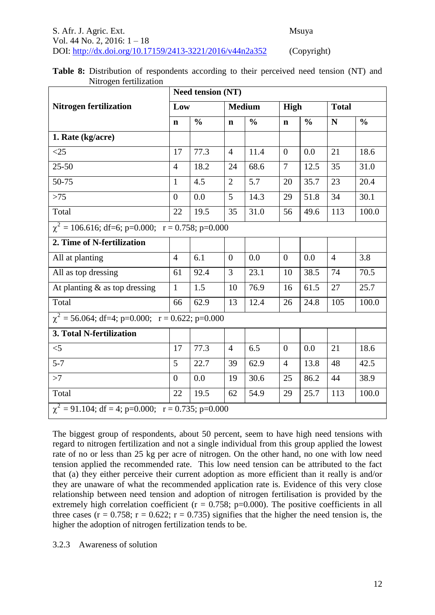| S. Afr. J. Agric. Ext.                                   | Msuya       |
|----------------------------------------------------------|-------------|
| Vol. 44 No. 2, 2016: $1-18$                              |             |
| DOI: http://dx.doi.org/10.17159/2413-3221/2016/v44n2a352 | (Copyright) |

|                                                        |                | <b>Need tension (NT)</b> |                |               |                |               |                |               |  |  |  |  |
|--------------------------------------------------------|----------------|--------------------------|----------------|---------------|----------------|---------------|----------------|---------------|--|--|--|--|
| <b>Nitrogen fertilization</b>                          | Low            |                          |                | <b>Medium</b> | High           |               | <b>Total</b>   |               |  |  |  |  |
|                                                        | $\mathbf n$    | $\frac{0}{0}$            | $\mathbf n$    | $\frac{0}{0}$ | $\mathbf n$    | $\frac{0}{0}$ | N              | $\frac{0}{0}$ |  |  |  |  |
| 1. Rate (kg/acre)                                      |                |                          |                |               |                |               |                |               |  |  |  |  |
| $<$ 25                                                 | 17             | 77.3                     | $\overline{4}$ | 11.4          | $\overline{0}$ | 0.0           | 21             | 18.6          |  |  |  |  |
| $25 - 50$                                              | $\overline{4}$ | 18.2                     | 24             | 68.6          | $\overline{7}$ | 12.5          | 35             | 31.0          |  |  |  |  |
| 50-75                                                  | $\mathbf{1}$   | 4.5                      | $\overline{2}$ | 5.7           | 20             | 35.7          | 23             | 20.4          |  |  |  |  |
| $>75$                                                  | $\overline{0}$ | 0.0                      | 5              | 14.3          | 29             | 51.8          | 34             | 30.1          |  |  |  |  |
| Total                                                  | 22             | 19.5                     | 35             | 31.0          | 56             | 49.6          | 113            | 100.0         |  |  |  |  |
| $\chi^2$ = 106.616; df=6; p=0.000; r = 0.758; p=0.000  |                |                          |                |               |                |               |                |               |  |  |  |  |
| 2. Time of N-fertilization                             |                |                          |                |               |                |               |                |               |  |  |  |  |
| All at planting                                        | $\overline{4}$ | 6.1                      | $\Omega$       | 0.0           | $\overline{0}$ | 0.0           | $\overline{4}$ | 3.8           |  |  |  |  |
| All as top dressing                                    | 61             | 92.4                     | 3              | 23.1          | 10             | 38.5          | 74             | 70.5          |  |  |  |  |
| At planting $\&$ as top dressing                       | $\mathbf{1}$   | 1.5                      | 10             | 76.9          | 16             | 61.5          | 27             | 25.7          |  |  |  |  |
| Total                                                  | 66             | $\overline{62.9}$        | 13             | 12.4          | 26             | 24.8          | 105            | 100.0         |  |  |  |  |
| $\chi^2$ = 56.064; df=4; p=0.000; r = 0.622; p=0.000   |                |                          |                |               |                |               |                |               |  |  |  |  |
| 3. Total N-fertilization                               |                |                          |                |               |                |               |                |               |  |  |  |  |
| $\leq$ 5                                               | 17             | 77.3                     | $\overline{4}$ | 6.5           | $\overline{0}$ | 0.0           | 21             | 18.6          |  |  |  |  |
| $5 - 7$                                                | 5              | 22.7                     | 39             | 62.9          | $\overline{4}$ | 13.8          | 48             | 42.5          |  |  |  |  |
| >7                                                     | $\Omega$       | 0.0                      | 19             | 30.6          | 25             | 86.2          | 44             | 38.9          |  |  |  |  |
| Total                                                  | 22             | 19.5                     | 62             | 54.9          | 29             | 25.7          | 113            | 100.0         |  |  |  |  |
| $\chi^2$ = 91.104; df = 4; p=0.000; r = 0.735; p=0.000 |                |                          |                |               |                |               |                |               |  |  |  |  |

|  | <b>Table 8:</b> Distribution of respondents according to their perceived need tension (NT) and |  |  |  |  |  |
|--|------------------------------------------------------------------------------------------------|--|--|--|--|--|
|  | Nitrogen fertilization                                                                         |  |  |  |  |  |

The biggest group of respondents, about 50 percent, seem to have high need tensions with regard to nitrogen fertilization and not a single individual from this group applied the lowest rate of no or less than 25 kg per acre of nitrogen. On the other hand, no one with low need tension applied the recommended rate. This low need tension can be attributed to the fact that (a) they either perceive their current adoption as more efficient than it really is and/or they are unaware of what the recommended application rate is. Evidence of this very close relationship between need tension and adoption of nitrogen fertilisation is provided by the extremely high correlation coefficient ( $r = 0.758$ ; p=0.000). The positive coefficients in all three cases ( $r = 0.758$ ;  $r = 0.622$ ;  $r = 0.735$ ) signifies that the higher the need tension is, the higher the adoption of nitrogen fertilization tends to be.

#### 3.2.3 Awareness of solution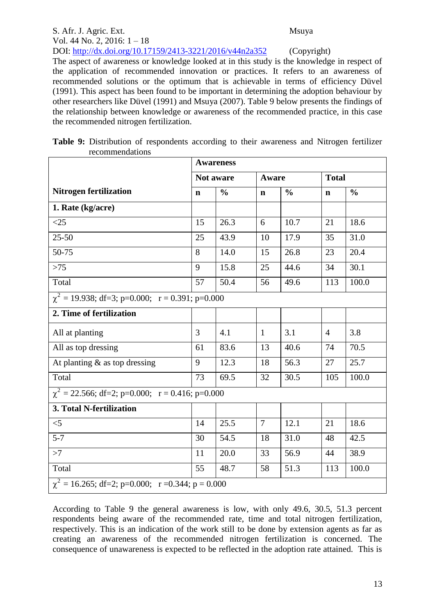#### S. Afr. J. Agric. Ext. Msuya Vol. 44 No. 2, 2016: 1 – 18 DOI: http://dx.doi.org/10.17159/2413-3221/2016/v44n2a352 (Copyright)

The aspect of awareness or knowledge looked at in this study is the knowledge in respect of the application of recommended innovation or practices. It refers to an awareness of recommended solutions or the optimum that is achievable in terms of efficiency Düvel (1991). This aspect has been found to be important in determining the adoption behaviour by other researchers like Düvel (1991) and Msuya (2007). Table 9 below presents the findings of the relationship between knowledge or awareness of the recommended practice, in this case the recommended nitrogen fertilization.

| recommendations<br><b>Awareness</b>                  |             |                  |                |               |                |               |  |  |  |
|------------------------------------------------------|-------------|------------------|----------------|---------------|----------------|---------------|--|--|--|
|                                                      |             | <b>Not aware</b> | Aware          |               | <b>Total</b>   |               |  |  |  |
| <b>Nitrogen fertilization</b>                        | $\mathbf n$ | $\frac{0}{0}$    | $\mathbf n$    | $\frac{0}{0}$ | $\mathbf n$    | $\frac{0}{0}$ |  |  |  |
| 1. Rate (kg/acre)                                    |             |                  |                |               |                |               |  |  |  |
| <25                                                  | 15          | 26.3             | 6              | 10.7          | 21             | 18.6          |  |  |  |
| $25 - 50$                                            | 25          | 43.9             | 10             | 17.9          | 35             | 31.0          |  |  |  |
| 50-75                                                | 8           | 14.0             | 15             | 26.8          | 23             | 20.4          |  |  |  |
| $>75$                                                | 9           | 15.8             | 25             | 44.6          | 34             | 30.1          |  |  |  |
| Total                                                | 57          | 50.4             | 56             | 49.6          | 113            | 100.0         |  |  |  |
| $\chi^2$ = 19.938; df=3; p=0.000; r = 0.391; p=0.000 |             |                  |                |               |                |               |  |  |  |
| 2. Time of fertilization                             |             |                  |                |               |                |               |  |  |  |
| All at planting                                      | 3           | 4.1              | $\mathbf{1}$   | 3.1           | $\overline{4}$ | 3.8           |  |  |  |
| All as top dressing                                  | 61          | 83.6             | 13             | 40.6          | 74             | 70.5          |  |  |  |
| At planting $\&$ as top dressing                     | 9           | 12.3             | 18             | 56.3          | 27             | 25.7          |  |  |  |
| Total                                                | 73          | 69.5             | 32             | 30.5          | 105            | 100.0         |  |  |  |
| $\chi^2$ = 22.566; df=2; p=0.000; r = 0.416; p=0.000 |             |                  |                |               |                |               |  |  |  |
| 3. Total N-fertilization                             |             |                  |                |               |                |               |  |  |  |
| $<$ 5                                                | 14          | 25.5             | $\overline{7}$ | 12.1          | 21             | 18.6          |  |  |  |
| $5 - 7$                                              | 30          | 54.5             | 18             | 31.0          | 48             | 42.5          |  |  |  |
| >7                                                   | 11          | 20.0             | 33             | 56.9          | 44             | 38.9          |  |  |  |
| Total                                                | 55          | 48.7             | 58             | 51.3          | 113            | 100.0         |  |  |  |

| Table 9: Distribution of respondents according to their awareness and Nitrogen fertilizer |  |  |  |  |  |
|-------------------------------------------------------------------------------------------|--|--|--|--|--|
| recommendations                                                                           |  |  |  |  |  |

According to Table 9 the general awareness is low, with only 49.6, 30.5, 51.3 percent respondents being aware of the recommended rate, time and total nitrogen fertilization, respectively. This is an indication of the work still to be done by extension agents as far as creating an awareness of the recommended nitrogen fertilization is concerned. The consequence of unawareness is expected to be reflected in the adoption rate attained. This is

 $\chi^2 = 16.265$ ; df=2; p=0.000; r =0.344; p = 0.000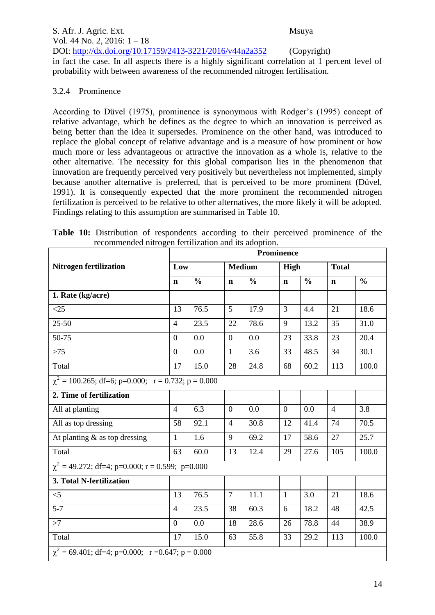#### S. Afr. J. Agric. Ext. Msuya Vol. 44 No. 2, 2016: 1 – 18 DOI: http://dx.doi.org/10.17159/2413-3221/2016/v44n2a352 (Copyright) in fact the case. In all aspects there is a highly significant correlation at 1 percent level of probability with between awareness of the recommended nitrogen fertilisation.

## 3.2.4 Prominence

According to Düvel (1975), prominence is synonymous with Rodger's (1995) concept of relative advantage, which he defines as the degree to which an innovation is perceived as being better than the idea it supersedes. Prominence on the other hand, was introduced to replace the global concept of relative advantage and is a measure of how prominent or how much more or less advantageous or attractive the innovation as a whole is, relative to the other alternative. The necessity for this global comparison lies in the phenomenon that innovation are frequently perceived very positively but nevertheless not implemented, simply because another alternative is preferred, that is perceived to be more prominent (Düvel, 1991). It is consequently expected that the more prominent the recommended nitrogen fertilization is perceived to be relative to other alternatives, the more likely it will be adopted. Findings relating to this assumption are summarised in Table 10.

|  | Table 10: Distribution of respondents according to their perceived prominence of the |  |  |  |  |  |
|--|--------------------------------------------------------------------------------------|--|--|--|--|--|
|  | recommended nitrogen fertilization and its adoption.                                 |  |  |  |  |  |

|                                                         | Prominence                                            |               |                  |               |              |               |                |               |  |  |  |  |
|---------------------------------------------------------|-------------------------------------------------------|---------------|------------------|---------------|--------------|---------------|----------------|---------------|--|--|--|--|
| <b>Nitrogen fertilization</b>                           | Low                                                   |               | <b>Medium</b>    |               | High         |               | <b>Total</b>   |               |  |  |  |  |
|                                                         | $\mathbf n$                                           | $\frac{0}{0}$ | $\mathbf n$      | $\frac{0}{0}$ | $\mathbf n$  | $\frac{0}{0}$ | $\mathbf n$    | $\frac{0}{0}$ |  |  |  |  |
| 1. Rate (kg/acre)                                       |                                                       |               |                  |               |              |               |                |               |  |  |  |  |
| $<$ 25                                                  | 13                                                    | 76.5          | 5                | 17.9          | 3            | 4.4           | 21             | 18.6          |  |  |  |  |
| $25 - 50$                                               | $\overline{4}$                                        | 23.5          | 22               | 78.6          | 9            | 13.2          | 35             | 31.0          |  |  |  |  |
| 50-75                                                   | $\overline{0}$                                        | 0.0           | $\boldsymbol{0}$ | 0.0           | 23           | 33.8          | 23             | 20.4          |  |  |  |  |
| $>75$                                                   | $\theta$                                              | 0.0           | $\mathbf{1}$     | 3.6           | 33           | 48.5          | 34             | 30.1          |  |  |  |  |
| Total                                                   | 17                                                    | 15.0          | 28               | 24.8          | 68           | 60.2          | 113            | 100.0         |  |  |  |  |
| $\chi^2$ = 100.265; df=6; p=0.000; r = 0.732; p = 0.000 |                                                       |               |                  |               |              |               |                |               |  |  |  |  |
| 2. Time of fertilization                                |                                                       |               |                  |               |              |               |                |               |  |  |  |  |
| All at planting                                         | $\overline{4}$                                        | 6.3           | $\boldsymbol{0}$ | 0.0           | $\theta$     | 0.0           | $\overline{4}$ | 3.8           |  |  |  |  |
| All as top dressing                                     | 58                                                    | 92.1          | $\overline{4}$   | 30.8          | 12           | 41.4          | 74             | 70.5          |  |  |  |  |
| At planting $\&$ as top dressing                        | $\mathbf{1}$                                          | 1.6           | 9                | 69.2          | 17           | 58.6          | 27             | 25.7          |  |  |  |  |
| Total                                                   | 63                                                    | 60.0          | 13               | 12.4          | 29           | 27.6          | 105            | 100.0         |  |  |  |  |
| $\chi^2$ = 49.272; df=4; p=0.000; r = 0.599; p=0.000    |                                                       |               |                  |               |              |               |                |               |  |  |  |  |
| 3. Total N-fertilization                                |                                                       |               |                  |               |              |               |                |               |  |  |  |  |
| $<$ 5                                                   | 13                                                    | 76.5          | $\overline{7}$   | 11.1          | $\mathbf{1}$ | 3.0           | 21             | 18.6          |  |  |  |  |
| $5 - 7$                                                 | $\overline{4}$                                        | 23.5          | 38               | 60.3          | 6            | 18.2          | 48             | 42.5          |  |  |  |  |
| $\overline{z}$                                          | $\overline{0}$                                        | 0.0           | 18               | 28.6          | 26           | 78.8          | 44             | 38.9          |  |  |  |  |
| Total                                                   | 17                                                    | 15.0          | 63               | 55.8          | 33           | 29.2          | 113            | 100.0         |  |  |  |  |
|                                                         | $\chi^2$ = 69.401; df=4; p=0.000; r =0.647; p = 0.000 |               |                  |               |              |               |                |               |  |  |  |  |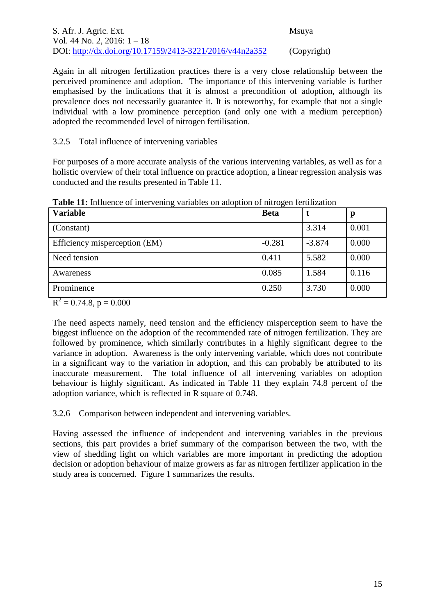| S. Afr. J. Agric. Ext.                                   | <b>Msuva</b> |
|----------------------------------------------------------|--------------|
| Vol. 44 No. 2, 2016: $1-18$                              |              |
| DOI: http://dx.doi.org/10.17159/2413-3221/2016/v44n2a352 | (Copyright)  |

Again in all nitrogen fertilization practices there is a very close relationship between the perceived prominence and adoption. The importance of this intervening variable is further emphasised by the indications that it is almost a precondition of adoption, although its prevalence does not necessarily guarantee it. It is noteworthy, for example that not a single individual with a low prominence perception (and only one with a medium perception) adopted the recommended level of nitrogen fertilisation.

#### 3.2.5 Total influence of intervening variables

For purposes of a more accurate analysis of the various intervening variables, as well as for a holistic overview of their total influence on practice adoption, a linear regression analysis was conducted and the results presented in Table 11.

| <b>Variable</b>               | <b>Beta</b> |          | р     |
|-------------------------------|-------------|----------|-------|
| (Constant)                    |             | 3.314    | 0.001 |
| Efficiency misperception (EM) | $-0.281$    | $-3.874$ | 0.000 |
| Need tension                  | 0.411       | 5.582    | 0.000 |
| Awareness                     | 0.085       | 1.584    | 0.116 |
| Prominence                    | 0.250       | 3.730    | 0.000 |

**Table 11:** Influence of intervening variables on adoption of nitrogen fertilization

 $R^2 = 0.74.8$ , p = 0.000

The need aspects namely, need tension and the efficiency misperception seem to have the biggest influence on the adoption of the recommended rate of nitrogen fertilization. They are followed by prominence, which similarly contributes in a highly significant degree to the variance in adoption. Awareness is the only intervening variable, which does not contribute in a significant way to the variation in adoption, and this can probably be attributed to its inaccurate measurement. The total influence of all intervening variables on adoption behaviour is highly significant. As indicated in Table 11 they explain 74.8 percent of the adoption variance, which is reflected in R square of 0.748.

3.2.6 Comparison between independent and intervening variables.

Having assessed the influence of independent and intervening variables in the previous sections, this part provides a brief summary of the comparison between the two, with the view of shedding light on which variables are more important in predicting the adoption decision or adoption behaviour of maize growers as far as nitrogen fertilizer application in the study area is concerned. Figure 1 summarizes the results.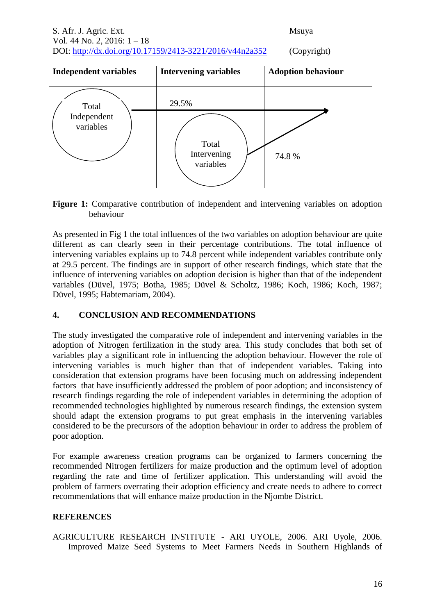S. Afr. J. Agric. Ext. Msuya Vol. 44 No. 2, 2016: 1 – 18 DOI: http://dx.doi.org/10.17159/2413-3221/2016/v44n2a352 (Copyright)

**Independent variables Intervening variables Adoption behaviour** Total Independent variables 29.5% Total Intervening variables 74.8 %

**Figure 1:** Comparative contribution of independent and intervening variables on adoption behaviour

As presented in Fig 1 the total influences of the two variables on adoption behaviour are quite different as can clearly seen in their percentage contributions. The total influence of intervening variables explains up to 74.8 percent while independent variables contribute only at 29.5 percent. The findings are in support of other research findings, which state that the influence of intervening variables on adoption decision is higher than that of the independent variables (Düvel, 1975; Botha, 1985; Düvel & Scholtz, 1986; Koch, 1986; Koch, 1987; Düvel, 1995; Habtemariam, 2004).

### **4. CONCLUSION AND RECOMMENDATIONS**

The study investigated the comparative role of independent and intervening variables in the adoption of Nitrogen fertilization in the study area. This study concludes that both set of variables play a significant role in influencing the adoption behaviour. However the role of intervening variables is much higher than that of independent variables. Taking into consideration that extension programs have been focusing much on addressing independent factors that have insufficiently addressed the problem of poor adoption; and inconsistency of research findings regarding the role of independent variables in determining the adoption of recommended technologies highlighted by numerous research findings, the extension system should adapt the extension programs to put great emphasis in the intervening variables considered to be the precursors of the adoption behaviour in order to address the problem of poor adoption.

For example awareness creation programs can be organized to farmers concerning the recommended Nitrogen fertilizers for maize production and the optimum level of adoption regarding the rate and time of fertilizer application. This understanding will avoid the problem of farmers overrating their adoption efficiency and create needs to adhere to correct recommendations that will enhance maize production in the Njombe District.

### **REFERENCES**

AGRICULTURE RESEARCH INSTITUTE - ARI UYOLE, 2006. ARI Uyole, 2006. Improved Maize Seed Systems to Meet Farmers Needs in Southern Highlands of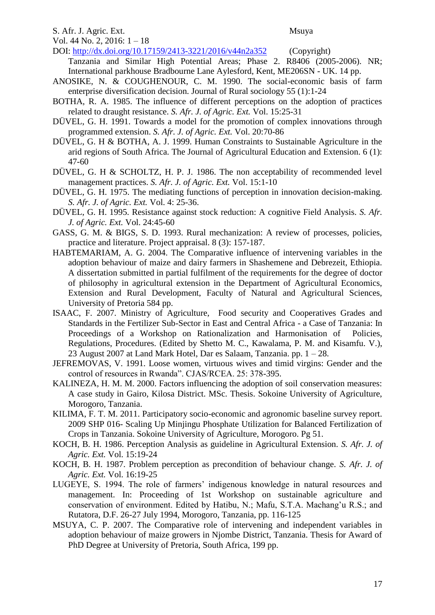#### S. Afr. J. Agric. Ext. Msuya

Vol. 44 No. 2, 2016: 1 – 18

DOI: http://dx.doi.org/10.17159/2413-3221/2016/v44n2a352 (Copyright)

- Tanzania and Similar High Potential Areas; Phase 2. R8406 (2005-2006). NR; International parkhouse Bradbourne Lane Aylesford, Kent, ME206SN - UK. 14 pp.
- ANOSIKE, N. & COUGHENOUR, C. M. 1990. The social-economic basis of farm enterprise diversification decision. Journal of Rural sociology 55 (1):1-24
- BOTHA, R. A. 1985. The influence of different perceptions on the adoption of practices related to draught resistance. *S. Afr. J. of Agric. Ext.* Vol. 15:25-31
- DÜVEL, G. H. 1991. Towards a model for the promotion of complex innovations through programmed extension. *S. Afr. J. of Agric. Ext.* Vol. 20:70-86
- DÜVEL, G. H & BOTHA, A. J. 1999. Human Constraints to Sustainable Agriculture in the arid regions of South Africa. The Journal of Agricultural Education and Extension. 6 (1): 47-60
- DÜVEL, G. H & SCHOLTZ, H. P. J. 1986. The non acceptability of recommended level management practices. *S. Afr. J. of Agric. Ext.* Vol. 15:1-10
- DÜVEL, G. H. 1975. The mediating functions of perception in innovation decision-making. *S. Afr. J. of Agric. Ext.* Vol. 4: 25-36.
- DÜVEL, G. H. 1995. Resistance against stock reduction: A cognitive Field Analysis. *S. Afr. J. of Agric. Ext.* Vol. 24:45-60
- GASS, G. M. & BIGS, S. D. 1993. Rural mechanization: A review of processes, policies, practice and literature. Project appraisal. 8 (3): 157-187.
- HABTEMARIAM, A. G. 2004. The Comparative influence of intervening variables in the adoption behaviour of maize and dairy farmers in Shashemene and Debrezeit, Ethiopia. A dissertation submitted in partial fulfilment of the requirements for the degree of doctor of philosophy in agricultural extension in the Department of Agricultural Economics, Extension and Rural Development, Faculty of Natural and Agricultural Sciences, University of Pretoria 584 pp.
- ISAAC, F. 2007. Ministry of Agriculture, Food security and Cooperatives Grades and Standards in the Fertilizer Sub-Sector in East and Central Africa - a Case of Tanzania: In Proceedings of a Workshop on Rationalization and Harmonisation of Policies, Regulations, Procedures. (Edited by Shetto M. C., Kawalama, P. M. and Kisamfu. V.), 23 August 2007 at Land Mark Hotel, Dar es Salaam, Tanzania. pp. 1 – 28.
- JEFREMOVAS, V. 1991. Loose women, virtuous wives and timid virgins: Gender and the control of resources in Rwanda". CJAS/RCEA. 25: 378-395.
- KALINEZA, H. M. M. 2000. Factors influencing the adoption of soil conservation measures: A case study in Gairo, Kilosa District. MSc. Thesis. Sokoine University of Agriculture, Morogoro, Tanzania.
- KILIMA, F. T. M. 2011. Participatory socio-economic and agronomic baseline survey report. 2009 SHP 016- Scaling Up Minjingu Phosphate Utilization for Balanced Fertilization of Crops in Tanzania. Sokoine University of Agriculture, Morogoro. Pg 51.
- KOCH, B. H. 1986. Perception Analysis as guideline in Agricultural Extension. *S. Afr. J. of Agric. Ext.* Vol. 15:19-24
- KOCH, B. H. 1987. Problem perception as precondition of behaviour change. *S. Afr. J. of Agric. Ext.* Vol. 16:19-25
- LUGEYE, S. 1994. The role of farmers' indigenous knowledge in natural resources and management. In: Proceeding of 1st Workshop on sustainable agriculture and conservation of environment. Edited by Hatibu, N.; Mafu, S.T.A. Machang'u R.S.; and Rutatora, D.F. 26-27 July 1994, Morogoro, Tanzania, pp. 116-125
- MSUYA, C. P. 2007. The Comparative role of intervening and independent variables in adoption behaviour of maize growers in Njombe District, Tanzania. Thesis for Award of PhD Degree at University of Pretoria, South Africa, 199 pp.